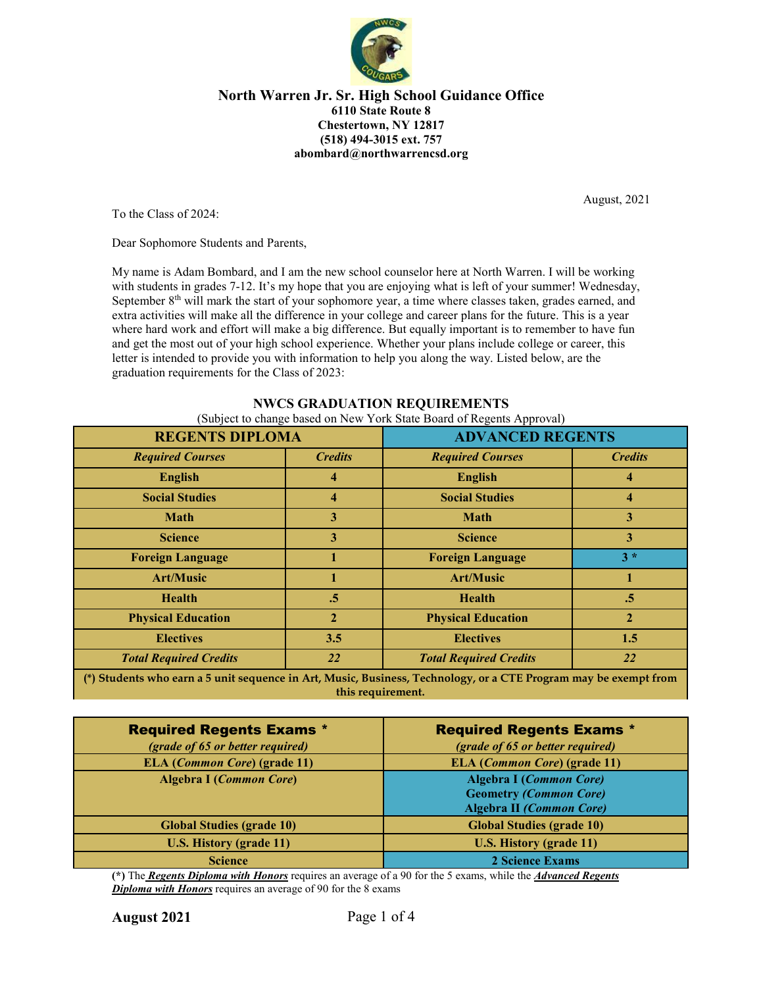

August, 2021

To the Class of 2024:

Dear Sophomore Students and Parents,

My name is Adam Bombard, and I am the new school counselor here at North Warren. I will be working with students in grades 7-12. It's my hope that you are enjoying what is left of your summer! Wednesday, September 8<sup>th</sup> will mark the start of your sophomore year, a time where classes taken, grades earned, and extra activities will make all the difference in your college and career plans for the future. This is a year where hard work and effort will make a big difference. But equally important is to remember to have fun and get the most out of your high school experience. Whether your plans include college or career, this letter is intended to provide you with information to help you along the way. Listed below, are the graduation requirements for the Class of 2023:

# **REGENTS DIPLOMA ADVANCED REGENTS** *Required Courses Credits Required Courses Credits* **English 4 English 4 Social Studies 4 Social Studies 4 Math 3 Math 3 Science 3 Science 3 Foreign Language 1 Foreign Language 3 \* Art/Music 1 Art/Music 1 Health .5 Health .5 Physical Education 2 Physical Education 2 Electives 3.5 Electives 1.5** *Total Required Credits 22 Total Required Credits 22*

## **NWCS GRADUATION REQUIREMENTS**

(Subject to change based on New York State Board of Regents Approval)

**(\*) Students who earn a 5 unit sequence in Art, Music, Business, Technology, or a CTE Program may be exempt from this requirement.**

| <b>Required Regents Exams *</b>              | <b>Required Regents Exams *</b>                                                                    |
|----------------------------------------------|----------------------------------------------------------------------------------------------------|
| (grade of 65 or better required)             | (grade of 65 or better required)                                                                   |
| <b>ELA</b> ( <i>Common Core</i> ) (grade 11) | ELA ( <i>Common Core</i> ) (grade 11)                                                              |
| <b>Algebra I (Common Core)</b>               | <b>Algebra I (Common Core)</b><br><b>Geometry (Common Core)</b><br><b>Algebra II (Common Core)</b> |
| <b>Global Studies (grade 10)</b>             | <b>Global Studies (grade 10)</b>                                                                   |
| <b>U.S. History (grade 11)</b>               | <b>U.S. History (grade 11)</b>                                                                     |
| <b>Science</b>                               | 2 Science Exams                                                                                    |

**(\*)** The *Regents Diploma with Honors* requires an average of a 90 for the 5 exams, while the *Advanced Regents Diploma with Honors* requires an average of 90 for the 8 exams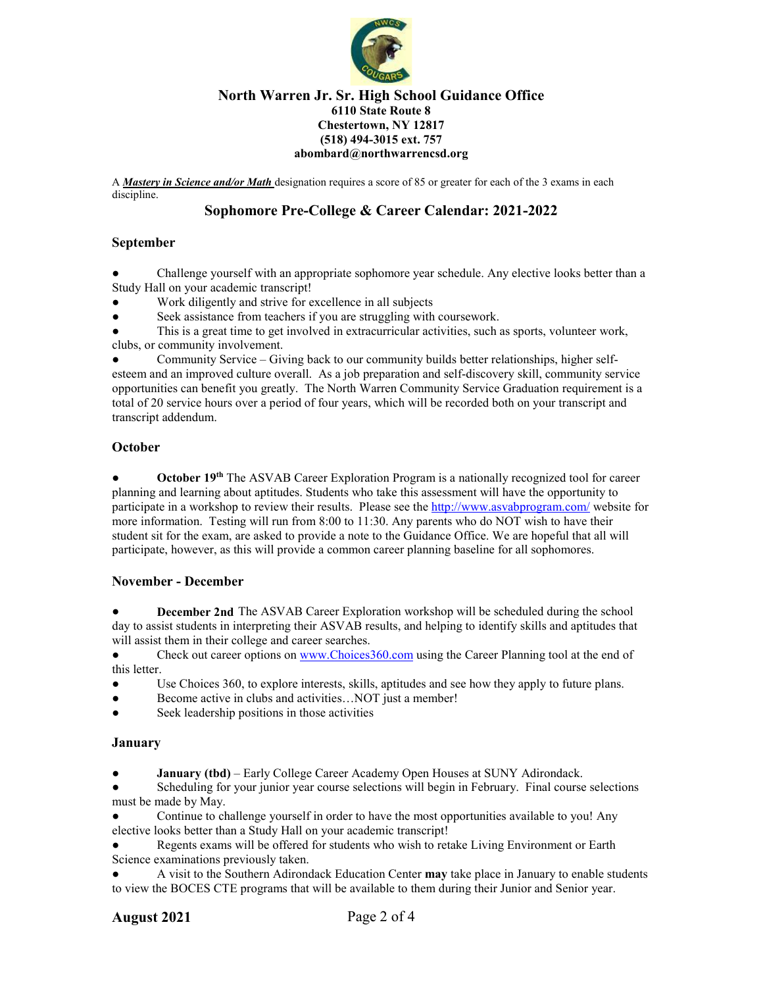

A *Mastery in Science and/or Math* designation requires a score of 85 or greater for each of the 3 exams in each discipline.

## **Sophomore Pre-College & Career Calendar: 2021-2022**

## **September**

Challenge yourself with an appropriate sophomore year schedule. Any elective looks better than a Study Hall on your academic transcript!

- Work diligently and strive for excellence in all subjects
- Seek assistance from teachers if you are struggling with coursework.

This is a great time to get involved in extracurricular activities, such as sports, volunteer work, clubs, or community involvement.

Community Service – Giving back to our community builds better relationships, higher selfesteem and an improved culture overall. As a job preparation and self-discovery skill, community service opportunities can benefit you greatly. The North Warren Community Service Graduation requirement is a total of 20 service hours over a period of four years, which will be recorded both on your transcript and transcript addendum.

## **October**

**October 19th** The ASVAB Career Exploration Program is a nationally recognized tool for career planning and learning about aptitudes. Students who take this assessment will have the opportunity to participate in a workshop to review their results. Please see the<http://www.asvabprogram.com/> website for more information. Testing will run from 8:00 to 11:30. Any parents who do NOT wish to have their student sit for the exam, are asked to provide a note to the Guidance Office. We are hopeful that all will participate, however, as this will provide a common career planning baseline for all sophomores.

## **November - December**

**December 2nd** The ASVAB Career Exploration workshop will be scheduled during the school day to assist students in interpreting their ASVAB results, and helping to identify skills and aptitudes that will assist them in their college and career searches.

• Check out career options o[n www.Choices360.com](http://www.choices360.com/) using the Career Planning tool at the end of this letter.

- Use Choices 360, to explore interests, skills, aptitudes and see how they apply to future plans.
- Become active in clubs and activities...NOT just a member!
- Seek leadership positions in those activities

#### **January**

**January (tbd)** – Early College Career Academy Open Houses at SUNY Adirondack.

Scheduling for your junior year course selections will begin in February. Final course selections must be made by May.

Continue to challenge yourself in order to have the most opportunities available to you! Any elective looks better than a Study Hall on your academic transcript!

Regents exams will be offered for students who wish to retake Living Environment or Earth Science examinations previously taken.

● A visit to the Southern Adirondack Education Center **may** take place in January to enable students to view the BOCES CTE programs that will be available to them during their Junior and Senior year.

## **August 2021** Page 2 of 4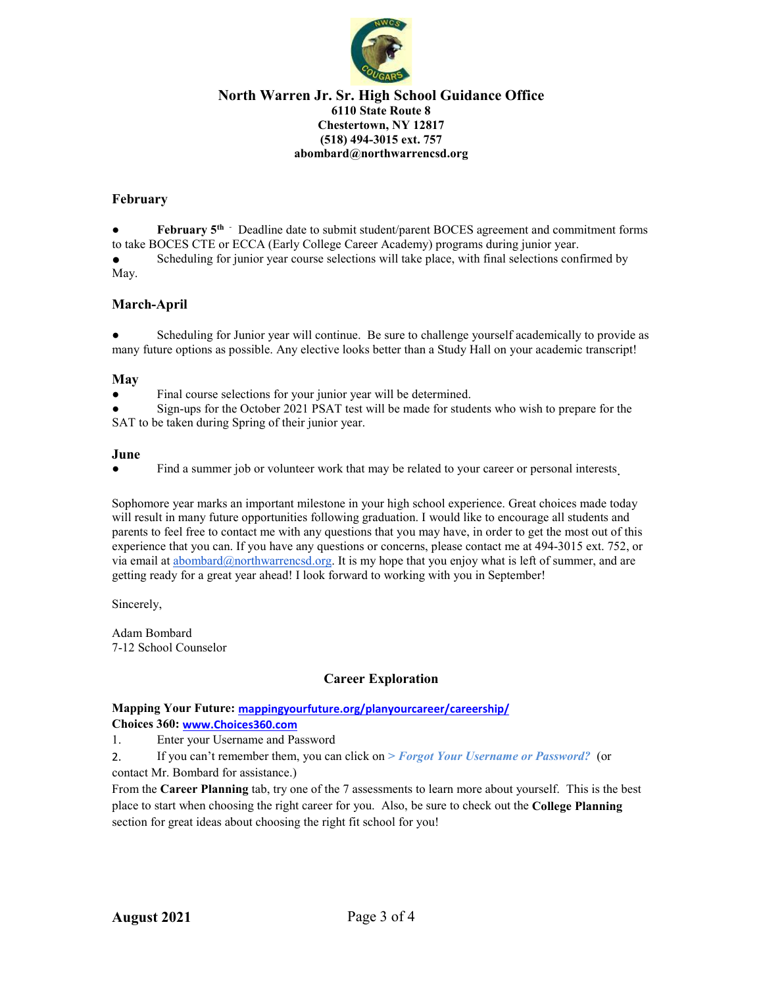

## **February**

**February 5<sup>th</sup>** *-* Deadline date to submit student/parent BOCES agreement and commitment forms to take BOCES CTE or ECCA (Early College Career Academy) programs during junior year.

Scheduling for junior year course selections will take place, with final selections confirmed by May.

## **March-April**

Scheduling for Junior year will continue. Be sure to challenge yourself academically to provide as many future options as possible. Any elective looks better than a Study Hall on your academic transcript!

#### **May**

Final course selections for your junior year will be determined.

Sign-ups for the October 2021 PSAT test will be made for students who wish to prepare for the SAT to be taken during Spring of their junior year.

#### **June**

• Find a summer job or volunteer work that may be related to your career or personal interests.

Sophomore year marks an important milestone in your high school experience. Great choices made today will result in many future opportunities following graduation. I would like to encourage all students and parents to feel free to contact me with any questions that you may have, in order to get the most out of this experience that you can. If you have any questions or concerns, please contact me at 494-3015 ext. 752, or via email at [abombard@northwarrencsd.org.](mailto:abombard@northwarrencsd.org) It is my hope that you enjoy what is left of summer, and are getting ready for a great year ahead! I look forward to working with you in September!

Sincerely,

Adam Bombard 7-12 School Counselor

## **Career Exploration**

## **Mapping Your Future: [mappingyourfuture.org/planyourcareer/careership/](http://mappingyourfuture.org/planyourcareer/careership/)**

**Choices 360: [www.Choices360.com](http://www.choices360.com/)**

1. Enter your Username and Password

2. If you can't remember them, you can click on *> Forgot Your Username or Password?* (or contact Mr. Bombard for assistance.)

From the **Career Planning** tab, try one of the 7 assessments to learn more about yourself. This is the best place to start when choosing the right career for you. Also, be sure to check out the **College Planning** section for great ideas about choosing the right fit school for you!